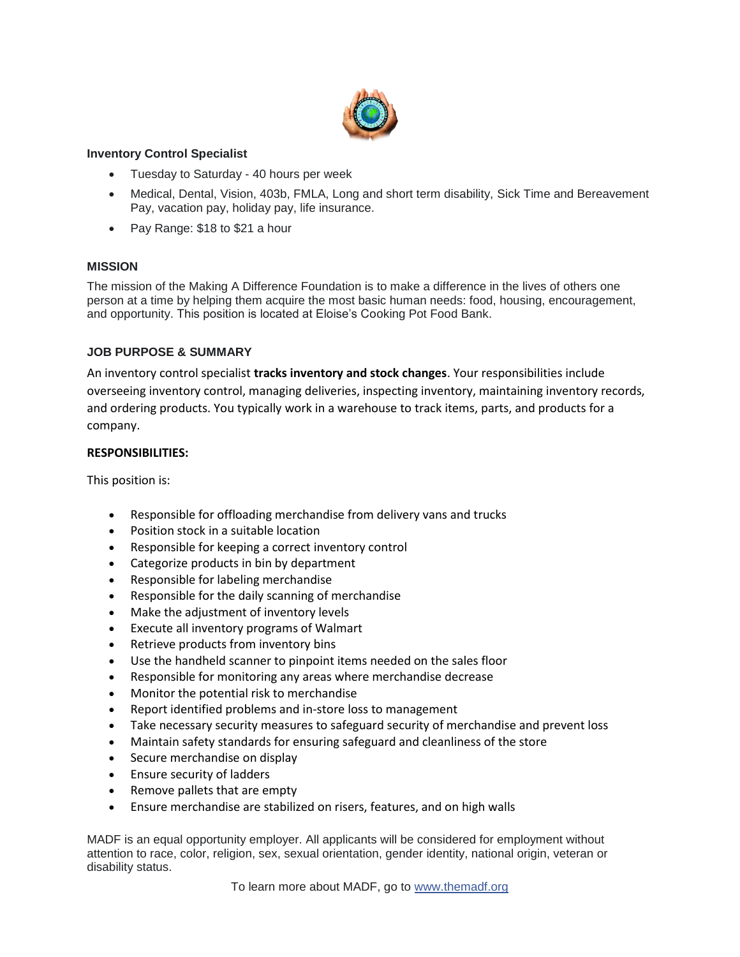

## **Inventory Control Specialist**

- Tuesday to Saturday 40 hours per week
- Medical, Dental, Vision, 403b, FMLA, Long and short term disability, Sick Time and Bereavement Pay, vacation pay, holiday pay, life insurance.
- Pay Range: \$18 to \$21 a hour

## **MISSION**

The mission of the Making A Difference Foundation is to make a difference in the lives of others one person at a time by helping them acquire the most basic human needs: food, housing, encouragement, and opportunity. This position is located at Eloise's Cooking Pot Food Bank.

## **JOB PURPOSE & SUMMARY**

An inventory control specialist **tracks inventory and stock changes**. Your responsibilities include overseeing inventory control, managing deliveries, inspecting inventory, maintaining inventory records, and ordering products. You typically work in a warehouse to track items, parts, and products for a company.

### **RESPONSIBILITIES:**

This position is:

- Responsible for offloading merchandise from delivery vans and trucks
- Position stock in a suitable location
- Responsible for keeping a correct inventory control
- Categorize products in bin by department
- Responsible for labeling merchandise
- Responsible for the daily scanning of merchandise
- Make the adjustment of inventory levels
- Execute all inventory programs of Walmart
- Retrieve products from inventory bins
- Use the handheld scanner to pinpoint items needed on the sales floor
- Responsible for monitoring any areas where merchandise decrease
- Monitor the potential risk to merchandise
- Report identified problems and in-store loss to management
- Take necessary security measures to safeguard security of merchandise and prevent loss
- Maintain safety standards for ensuring safeguard and cleanliness of the store
- Secure merchandise on display
- Ensure security of ladders
- Remove pallets that are empty
- Ensure merchandise are stabilized on risers, features, and on high walls

MADF is an equal opportunity employer. All applicants will be considered for employment without attention to race, color, religion, sex, sexual orientation, gender identity, national origin, veteran or disability status.

To learn more about MADF, go to [www.themadf.org](http://www.themadf.org/?fbclid=IwAR3vAD1GMXBIQ3arZ3PBrM1L9_WxPfKNX4EaB0FlxDHXlt_2Q9dWEeYrekI)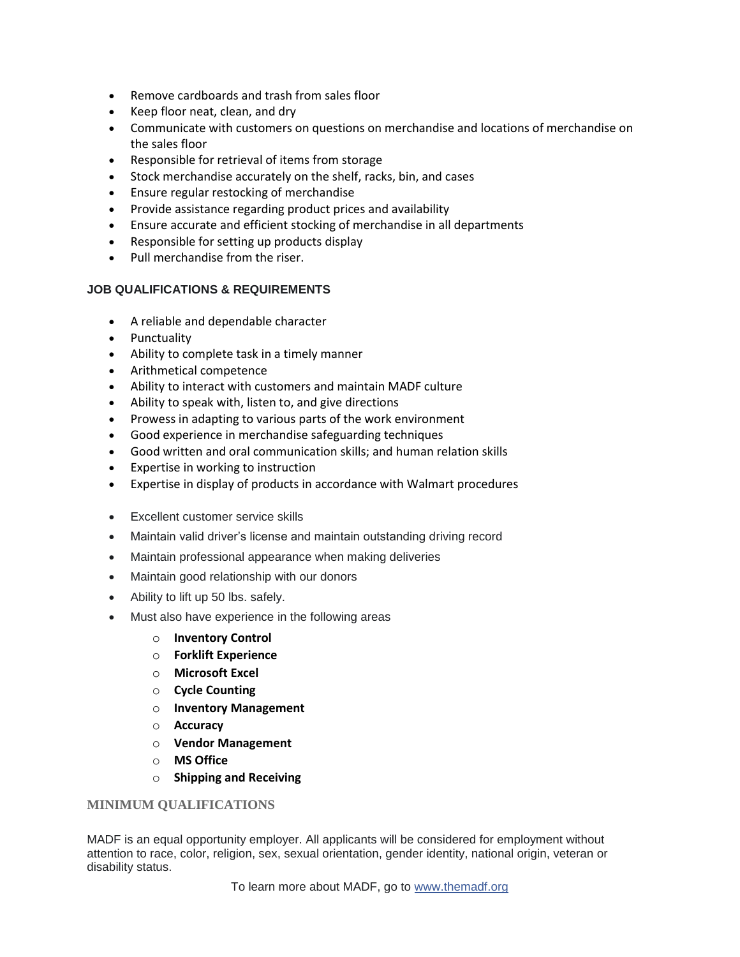- Remove cardboards and trash from sales floor
- Keep floor neat, clean, and dry
- Communicate with customers on questions on merchandise and locations of merchandise on the sales floor
- Responsible for retrieval of items from storage
- Stock merchandise accurately on the shelf, racks, bin, and cases
- Ensure regular restocking of merchandise
- Provide assistance regarding product prices and availability
- Ensure accurate and efficient stocking of merchandise in all departments
- Responsible for setting up products display
- Pull merchandise from the riser.

## **JOB QUALIFICATIONS & REQUIREMENTS**

- A reliable and dependable character
- Punctuality
- Ability to complete task in a timely manner
- Arithmetical competence
- Ability to interact with customers and maintain MADF culture
- Ability to speak with, listen to, and give directions
- Prowess in adapting to various parts of the work environment
- Good experience in merchandise safeguarding techniques
- Good written and oral communication skills; and human relation skills
- Expertise in working to instruction
- Expertise in display of products in accordance with Walmart procedures
- Excellent customer service skills
- Maintain valid driver's license and maintain outstanding driving record
- Maintain professional appearance when making deliveries
- Maintain good relationship with our donors
- Ability to lift up 50 lbs. safely.
- Must also have experience in the following areas
	- o **Inventory Control**
	- o **Forklift Experience**
	- o **Microsoft Excel**
	- o **Cycle Counting**
	- o **Inventory Management**
	- o **Accuracy**
	- o **Vendor Management**
	- o **MS Office**
	- o **Shipping and Receiving**

# **MINIMUM QUALIFICATIONS**

MADF is an equal opportunity employer. All applicants will be considered for employment without attention to race, color, religion, sex, sexual orientation, gender identity, national origin, veteran or disability status.